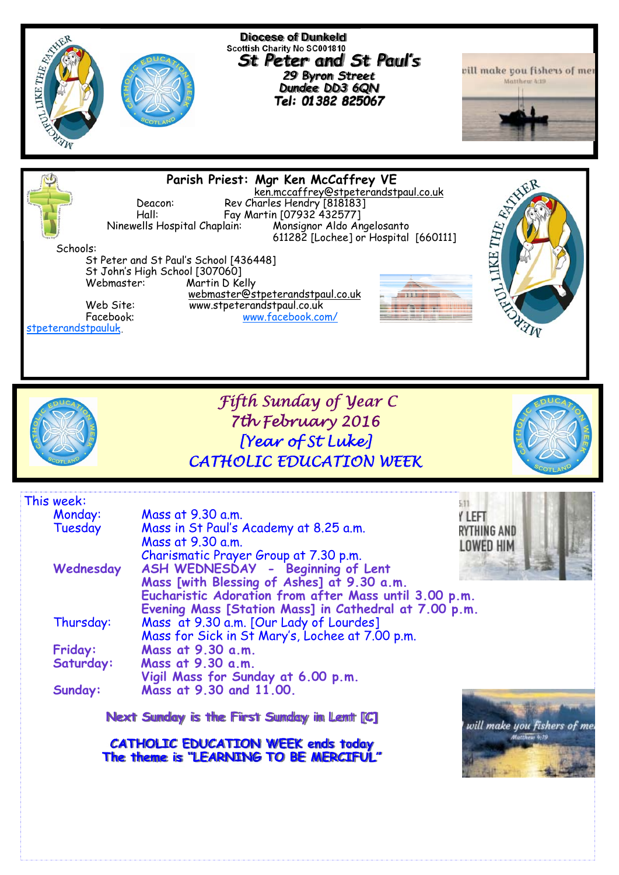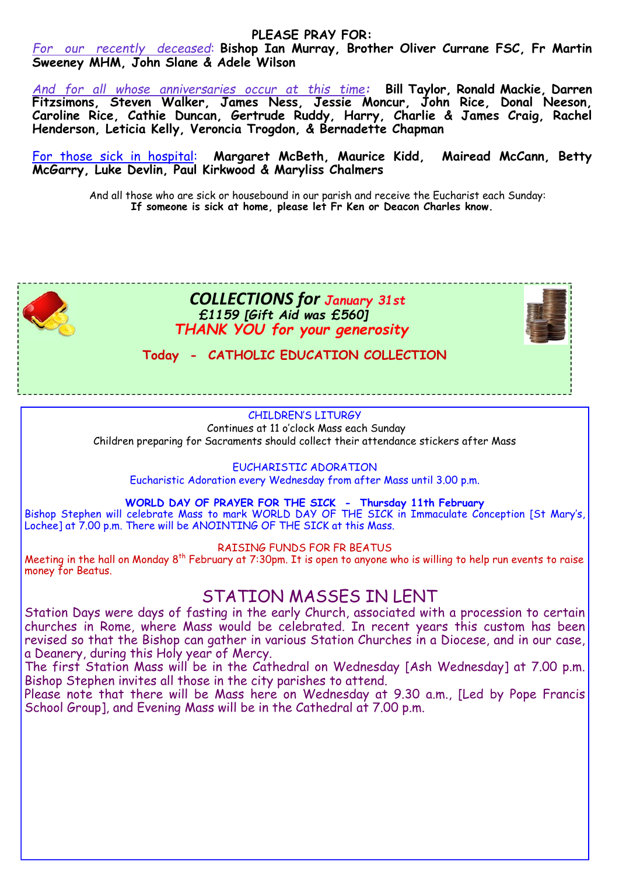# **PLEASE PRAY FOR:**

*For our recently deceased*: **Bishop Ian Murray, Brother Oliver Currane FSC, Fr Martin Sweeney MHM, John Slane & Adele Wilson** 

*And for all whose anniversaries occur at this time:* **Bill Taylor, Ronald Mackie, Darren Fitzsimons, Steven Walker, James Ness, Jessie Moncur, John Rice, Donal Neeson, Caroline Rice, Cathie Duncan, Gertrude Ruddy, Harry, Charlie & James Craig, Rachel Henderson, Leticia Kelly, Veroncia Trogdon, & Bernadette Chapman** 

For those sick in hospital: **Margaret McBeth, Maurice Kidd, Mairead McCann, Betty McGarry, Luke Devlin, Paul Kirkwood & Maryliss Chalmers** 

And all those who are sick or housebound in our parish and receive the Eucharist each Sunday: **If someone is sick at home, please let Fr Ken or Deacon Charles know.** 



# CHILDREN'S LITURGY

 Continues at 11 o'clock Mass each Sunday Children preparing for Sacraments should collect their attendance stickers after Mass

### EUCHARISTIC ADORATION

Eucharistic Adoration every Wednesday from after Mass until 3.00 p.m.

## **WORLD DAY OF PRAYER FOR THE SICK - Thursday 11th February**

Bishop Stephen will celebrate Mass to mark WORLD DAY OF THE SICK in Immaculate Conception [St Mary's, Lochee] at 7.00 p.m. There will be ANOINTING OF THE SICK at this Mass.

### RAISING FUNDS FOR FR BEATUS

Meeting in the hall on Monday 8<sup>th</sup> February at 7:30pm. It is open to anyone who is willing to help run events to raise money for Beatus.

# STATION MASSES IN LENT

Station Days were days of fasting in the early Church, associated with a procession to certain churches in Rome, where Mass would be celebrated. In recent years this custom has been revised so that the Bishop can gather in various Station Churches in a Diocese, and in our case, a Deanery, during this Holy year of Mercy.

The first Station Mass will be in the Cathedral on Wednesday [Ash Wednesday] at 7.00 p.m. Bishop Stephen invites all those in the city parishes to attend.

Please note that there will be Mass here on Wednesday at 9.30 a.m., [Led by Pope Francis School Group], and Evening Mass will be in the Cathedral at 7.00 p.m.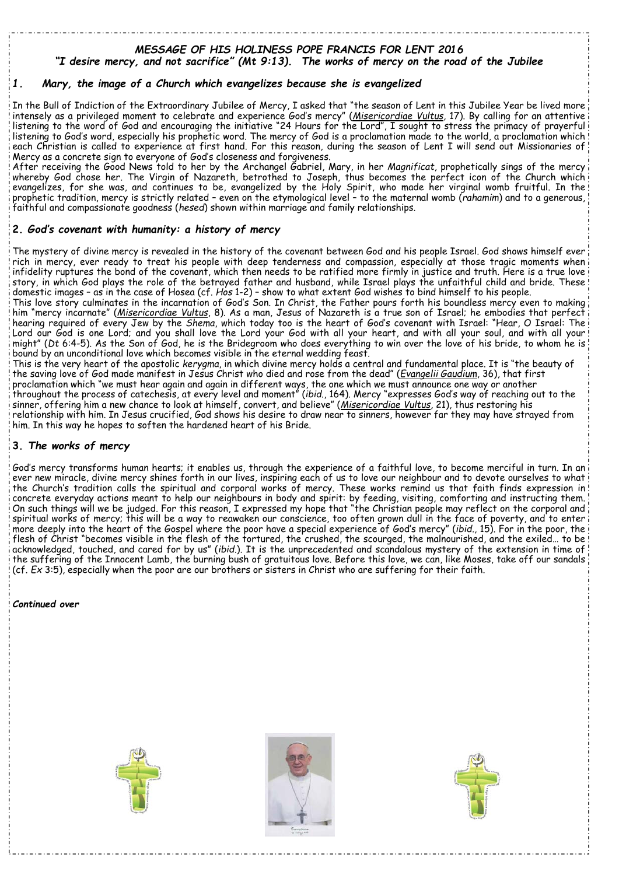#### *MESSAGE OF HIS HOLINESS POPE FRANCIS FOR LENT 2016 "I desire mercy, and not sacrifice" (Mt 9:13). The works of mercy on the road of the Jubilee*

## *1. Mary, the image of a Church which evangelizes because she is evangelized*

In the Bull of Indiction of the Extraordinary Jubilee of Mercy, I asked that "the season of Lent in this Jubilee Year be lived more intensely as a privileged moment to celebrate and experience God's mercy" (*Misericordiae Vultus*, 17). By calling for an attentive listening to the word of God and encouraging the initiative "24 Hours for the Lord", I sought to stress the primacy of prayerful listening to God's word, especially his prophetic word. The mercy of God is a proclamation made to the world, a proclamation which each Christian is called to experience at first hand. For this reason, during the season of Lent I will send out Missionaries of Mercy as a concrete sign to everyone of God's closeness and forgiveness.

After receiving the Good News told to her by the Archangel Gabriel, Mary, in her *Magnificat*, prophetically sings of the mercy whereby God chose her. The Virgin of Nazareth, betrothed to Joseph, thus becomes the perfect icon of the Church which evangelizes, for she was, and continues to be, evangelized by the Holy Spirit, who made her virginal womb fruitful. In the prophetic tradition, mercy is strictly related – even on the etymological level – to the maternal womb (*rahamim*) and to a generous, faithful and compassionate goodness (*hesed*) shown within marriage and family relationships.

### **2.** *God's covenant with humanity: a history of mercy*

The mystery of divine mercy is revealed in the history of the covenant between God and his people Israel. God shows himself ever rich in mercy, ever ready to treat his people with deep tenderness and compassion, especially at those tragic moments when infidelity ruptures the bond of the covenant, which then needs to be ratified more firmly in justice and truth. Here is a true love story, in which God plays the role of the betrayed father and husband, while Israel plays the unfaithful child and bride. These domestic images – as in the case of Hosea (cf. *Hos* 1-2) – show to what extent God wishes to bind himself to his people. This love story culminates in the incarnation of God's Son. In Christ, the Father pours forth his boundless mercy even to making

him "mercy incarnate" (*Misericordiae Vultus*, 8). As a man, Jesus of Nazareth is a true son of Israel; he embodies that perfect hearing required of every Jew by the *Shema*, which today too is the heart of God's covenant with Israel: "Hear, O Israel: The Lord our God is one Lord; and you shall love the Lord your God with all your heart, and with all your soul, and with all your might" (*Dt* 6:4-5). As the Son of God, he is the Bridegroom who does everything to win over the love of his bride, to whom he is bound by an unconditional love which becomes visible in the eternal wedding feast.

This is the very heart of the apostolic *kerygma*, in which divine mercy holds a central and fundamental place. It is "the beauty of the saving love of God made manifest in Jesus Christ who died and rose from the dead" (*Evangelii Gaudium*, 36), that first proclamation which "we must hear again and again in different ways, the one which we must announce one way or another throughout the process of catechesis, at every level and moment" (*ibid*., 164). Mercy "expresses God's way of reaching out to the sinner, offering him a new chance to look at himself, convert, and believe" (*Misericordiae Vultus*, 21), thus restoring his relationship with him. In Jesus crucified, God shows his desire to draw near to sinners, however far they may have strayed from him. In this way he hopes to soften the hardened heart of his Bride.

### **3.** *The works of mercy*

God's mercy transforms human hearts; it enables us, through the experience of a faithful love, to become merciful in turn. In an ever new miracle, divine mercy shines forth in our lives, inspiring each of us to love our neighbour and to devote ourselves to what the Church's tradition calls the spiritual and corporal works of mercy. These works remind us that faith finds expression in concrete everyday actions meant to help our neighbours in body and spirit: by feeding, visiting, comforting and instructing them. On such things will we be judged. For this reason, I expressed my hope that "the Christian people may reflect on the corporal and spiritual works of mercy; this will be a way to reawaken our conscience, too often grown dull in the face of poverty, and to enter more deeply into the heart of the Gospel where the poor have a special experience of God's mercy" (*ibid.*, 15). For in the poor, the flesh of Christ "becomes visible in the flesh of the tortured, the crushed, the scourged, the malnourished, and the exiled… to be acknowledged, touched, and cared for by us" (*ibid.*). It is the unprecedented and scandalous mystery of the extension in time of the suffering of the Innocent Lamb, the burning bush of gratuitous love. Before this love, we can, like Moses, take off our sandals (cf. *Ex* 3:5), especially when the poor are our brothers or sisters in Christ who are suffering for their faith.

*Continued over*